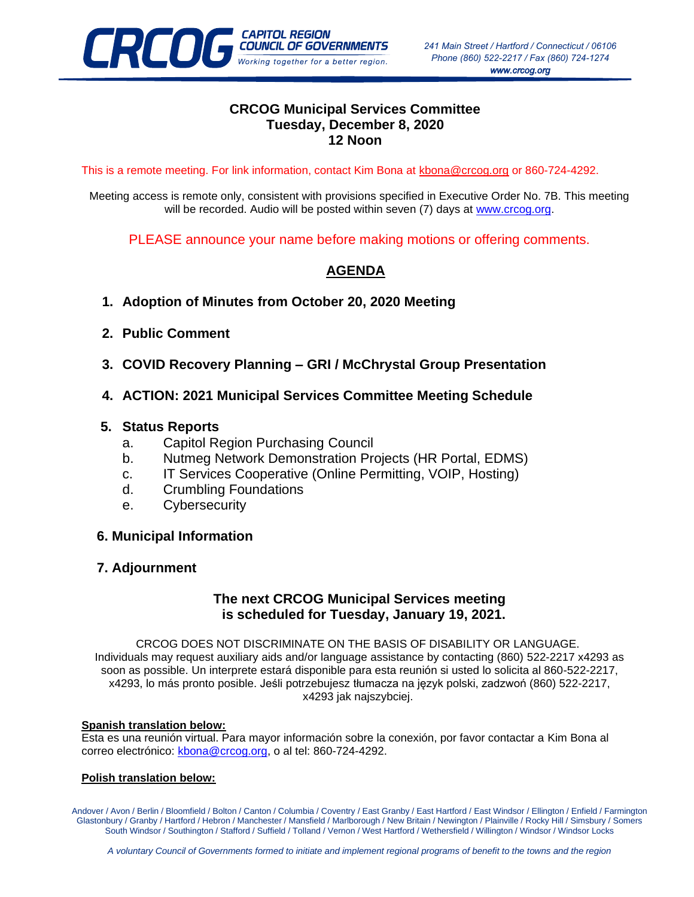

## **CRCOG Municipal Services Committee Tuesday, December 8, 2020 12 Noon**

This is a remote meeting. For link information, contact Kim Bona at [kbona@crcog.org](mailto:kbona@crcog.org) or 860-724-4292.

Meeting access is remote only, consistent with provisions specified in Executive Order No. 7B. This meeting will be recorded. Audio will be posted within seven (7) days at [www.crcog.org.](http://www.crcog.org/)

PLEASE announce your name before making motions or offering comments.

# **AGENDA**

- **1. Adoption of Minutes from October 20, 2020 Meeting**
- **2. Public Comment**
- **3. COVID Recovery Planning – GRI / McChrystal Group Presentation**
- **4. ACTION: 2021 Municipal Services Committee Meeting Schedule**

### **5. Status Reports**

- a. Capitol Region Purchasing Council
- b. Nutmeg Network Demonstration Projects (HR Portal, EDMS)
- c. IT Services Cooperative (Online Permitting, VOIP, Hosting)
- d. Crumbling Foundations
- e. Cybersecurity

### **6. Municipal Information**

### **7. Adjournment**

### **The next CRCOG Municipal Services meeting is scheduled for Tuesday, January 19, 2021.**

CRCOG DOES NOT DISCRIMINATE ON THE BASIS OF DISABILITY OR LANGUAGE. Individuals may request auxiliary aids and/or language assistance by contacting (860) 522-2217 x4293 as soon as possible. Un interprete estará disponible para esta reunión si usted lo solicita al 860-522-2217, x4293, lo más pronto posible. Jeśli potrzebujesz tłumacza na język polski, zadzwoń (860) 522-2217, x4293 jak najszybciej.

#### **Spanish translation below:**

Esta es una reunión virtual. Para mayor información sobre la conexión, por favor contactar a Kim Bona al correo electrónico: [kbona@crcog.org,](mailto:kbona@crcog.org) o al tel: 860-724-4292.

#### **Polish translation below:**

Andover / Avon / Berlin / Bloomfield / Bolton / Canton / Columbia / Coventry / East Granby / East Hartford / East Windsor / Ellington / Enfield / Farmington Glastonbury / Granby / Hartford / Hebron / Manchester / Mansfield / Marlborough / New Britain / Newington / Plainville / Rocky Hill / Simsbury / Somers South Windsor / Southington / Stafford / Suffield / Tolland / Vernon / West Hartford / Wethersfield / Willington / Windsor / Windsor Locks